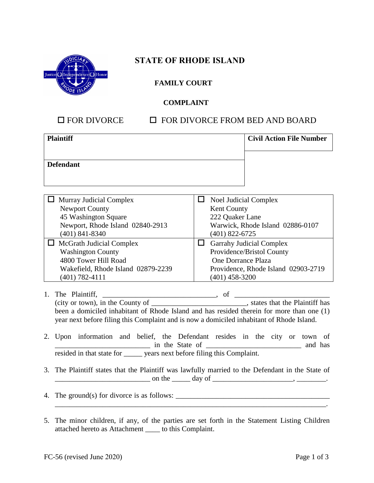

## **STATE OF RHODE ISLAND**

### **FAMILY COURT**

#### **COMPLAINT**

## $\Box$  FOR DIVORCE  $\Box$  FOR DIVORCE FROM BED AND BOARD

| <b>Plaintiff</b> | <b>Civil Action File Number</b> |
|------------------|---------------------------------|
| <b>Defendant</b> |                                 |

| <b>Murray Judicial Complex</b>     | <b>Noel Judicial Complex</b>        |
|------------------------------------|-------------------------------------|
| <b>Newport County</b>              | Kent County                         |
| 45 Washington Square               | 222 Quaker Lane                     |
| Newport, Rhode Island 02840-2913   | Warwick, Rhode Island 02886-0107    |
| $(401)$ 841-8340                   | $(401)$ 822-6725                    |
| $\Box$ McGrath Judicial Complex    | <b>Garrahy Judicial Complex</b>     |
| <b>Washington County</b>           | Providence/Bristol County           |
| 4800 Tower Hill Road               | One Dorrance Plaza                  |
| Wakefield, Rhode Island 02879-2239 | Providence, Rhode Island 02903-2719 |
| $(401) 782 - 4111$                 | $(401)$ 458-3200                    |

- 1. The Plaintiff, \_\_\_\_\_\_\_\_\_\_\_\_\_\_\_\_\_\_\_\_\_\_\_\_\_\_\_\_\_\_\_, of \_\_\_\_\_\_\_\_\_\_\_\_\_\_\_\_\_\_\_\_\_\_\_\_\_\_ (city or town), in the County of \_\_\_\_\_\_\_\_\_\_\_\_\_\_\_\_\_\_\_\_\_\_\_\_\_\_, states that the Plaintiff has been a domiciled inhabitant of Rhode Island and has resided therein for more than one (1) year next before filing this Complaint and is now a domiciled inhabitant of Rhode Island.
- 2. Upon information and belief, the Defendant resides in the city or town of \_\_\_\_\_\_\_\_\_\_\_\_\_\_\_\_\_\_\_\_\_\_\_\_\_\_ in the State of \_\_\_\_\_\_\_\_\_\_\_\_\_\_\_\_\_\_\_\_\_\_\_\_\_\_ and has resided in that state for \_\_\_\_\_ years next before filing this Complaint.
- 3. The Plaintiff states that the Plaintiff was lawfully married to the Defendant in the State of  $\Box$  on the  $\Box$  day of  $\Box$
- 4. The ground(s) for divorce is as follows:  $\frac{1}{\sqrt{2\pi}}$
- 5. The minor children, if any, of the parties are set forth in the Statement Listing Children attached hereto as Attachment \_\_\_\_ to this Complaint.

 $\mathcal{L}_\mathcal{L} = \mathcal{L}_\mathcal{L}$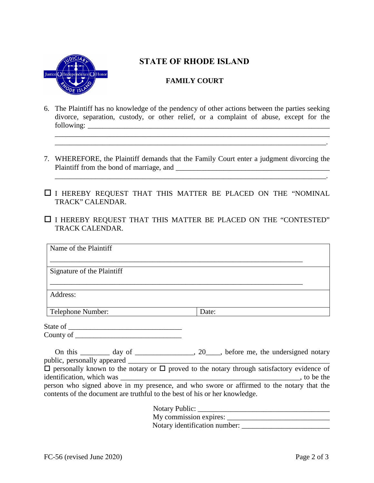

# **STATE OF RHODE ISLAND**

## **FAMILY COURT**

6. The Plaintiff has no knowledge of the pendency of other actions between the parties seeking divorce, separation, custody, or other relief, or a complaint of abuse, except for the following: \_\_\_\_\_\_\_\_\_\_\_\_\_\_\_\_\_\_\_\_\_\_\_\_\_\_\_\_\_\_\_\_\_\_\_\_\_\_\_\_\_\_\_\_\_\_\_\_\_\_\_\_\_\_\_\_\_\_\_\_\_\_\_\_\_\_

\_\_\_\_\_\_\_\_\_\_\_\_\_\_\_\_\_\_\_\_\_\_\_\_\_\_\_\_\_\_\_\_\_\_\_\_\_\_\_\_\_\_\_\_\_\_\_\_\_\_\_\_\_\_\_\_\_\_\_\_\_\_\_\_\_\_\_\_\_\_\_\_\_\_\_

\_\_\_\_\_\_\_\_\_\_\_\_\_\_\_\_\_\_\_\_\_\_\_\_\_\_\_\_\_\_\_\_\_\_\_\_\_\_\_\_\_\_\_\_\_\_\_\_\_\_\_\_\_\_\_\_\_\_\_\_\_\_\_\_\_\_\_\_\_\_\_\_\_\_.

- 7. WHEREFORE, the Plaintiff demands that the Family Court enter a judgment divorcing the Plaintiff from the bond of marriage, and \_\_\_\_\_\_\_\_\_\_\_\_\_\_\_\_\_\_\_\_\_\_\_\_\_\_\_\_\_\_\_\_\_\_\_\_\_\_\_\_\_\_ \_\_\_\_\_\_\_\_\_\_\_\_\_\_\_\_\_\_\_\_\_\_\_\_\_\_\_\_\_\_\_\_\_\_\_\_\_\_\_\_\_\_\_\_\_\_\_\_\_\_\_\_\_\_\_\_\_\_\_\_\_\_\_\_\_\_\_\_\_\_\_\_\_\_.
- $\square$  I HEREBY REQUEST THAT THIS MATTER BE PLACED ON THE "NOMINAL TRACK" CALENDAR.
- $\Box$  I HEREBY REQUEST THAT THIS MATTER BE PLACED ON THE "CONTESTED" TRACK CALENDAR.

| Name of the Plaintiff                                                                                                                                                  |                                                                                                                 |
|------------------------------------------------------------------------------------------------------------------------------------------------------------------------|-----------------------------------------------------------------------------------------------------------------|
| Signature of the Plaintiff                                                                                                                                             |                                                                                                                 |
| Address:                                                                                                                                                               |                                                                                                                 |
| Telephone Number:                                                                                                                                                      | Date:                                                                                                           |
|                                                                                                                                                                        |                                                                                                                 |
| County of                                                                                                                                                              |                                                                                                                 |
| On this __________ day of ______________________, 20_____, before me, the undersigned notary                                                                           |                                                                                                                 |
| $\Box$ personally known to the notary or $\Box$ proved to the notary through satisfactory evidence of                                                                  |                                                                                                                 |
| person who signed above in my presence, and who swore or affirmed to the notary that the<br>contents of the document are truthful to the best of his or her knowledge. |                                                                                                                 |
|                                                                                                                                                                        | the contract of the contract of the contract of the contract of the contract of the contract of the contract of |

| NOTALY PUBLIC:                |  |
|-------------------------------|--|
| My commission expires:        |  |
| Notary identification number: |  |